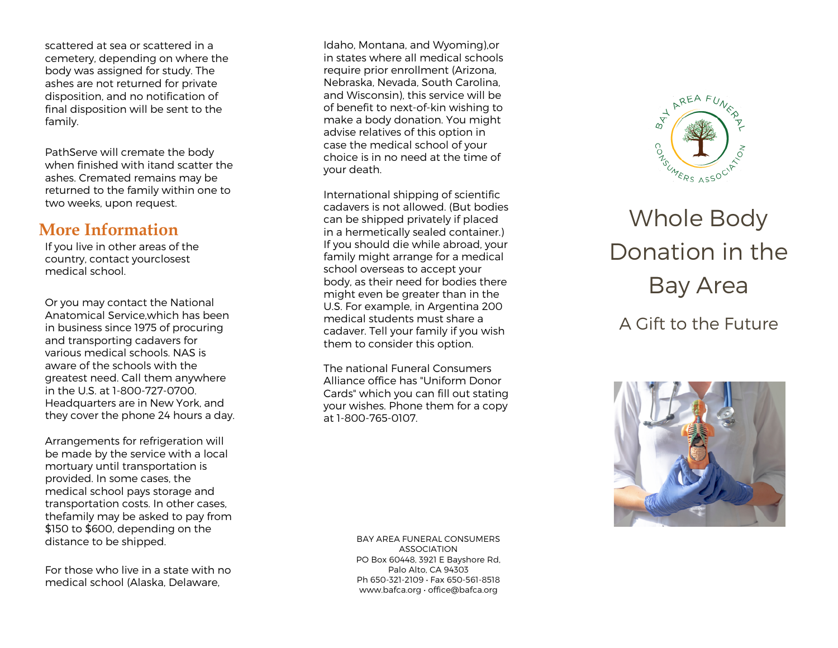scattered at sea or scattered in a cemetery, depending on where the body was assigned for study. The ashes are not returned for private disposition, and no notification of final disposition will be sent to the family.

PathServe will cremate the body when finished with itand scatter the ashes. Cremated remains may be returned to the family within one to two weeks, upon request.

### **More Information**

If you live in other areas of the country, contact yourclosest medical school.

Or you may contact the National Anatomical Service,which has been in business since 1975 of procuring and transporting cadavers for various medical schools. NAS is aware of the schools with the greatest need. Call them anywhere in the U.S. at 1-800-727-0700. Headquarters are in New York, and they cover the phone 24 hours a day.

Arrangements for refrigeration will be made by the service with a local mortuary until transportation is provided. In some cases, the medical school pays storage and transportation costs. In other cases, thefamily may be asked to pay from \$150 to \$600, depending on the distance to be shipped.

For those who live in a state with no medical school (Alaska, Delaware,

Idaho, Montana, and Wyoming),or in states where all medical schools require prior enrollment (Arizona, Nebraska, Nevada, South Carolina, and Wisconsin), this service will be of benefit to next -of-kin wishing to make a body donation. You might advise relatives of this option in case the medical school of your choice is in no need at the time of your death.

International shipping of scientific cadavers is not allowed. (But bodies can be shipped privately if placed in a hermetically sealed container.) If you should die while abroad, your family might arrange for a medical school overseas to accept your body, as their need for bodies there might even be greater than in the U.S. For example, in Argentina 200 medical students must share a cadaver. Tell your family if you wish them to consider this option.

The national Funeral Consumers Alliance office has "Uniform Donor Cards" which you can fill out stating your wishes. Phone them for a copy at 1 -800 -765 -0107 .

> BAY AREA FUNERAL CONSUMERS ASSOCIATION PO Box 60448, 3921 E Bayshore Rd, Palo Alto, CA 9430 3 Ph 650-321-2109 · Fax 650-561-8518 www.bafca.org • office@bafca.org



# Whole Body Donation in the Bay Area

# A Gift to the Future